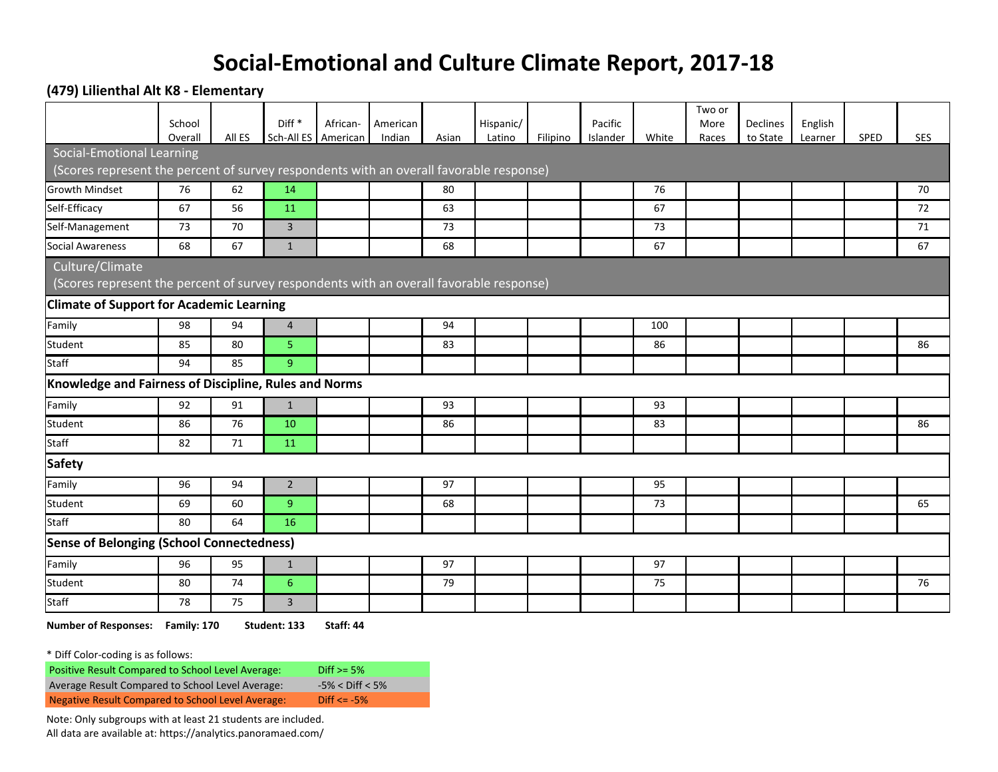## **Social-Emotional and Culture Climate Report, 2017-18**

**(479) Lilienthal Alt K8 - Elementary**

|                                                                                         | School  |        | Diff <sup>*</sup>     | African- | American |       | Hispanic/ |          | Pacific  |       | Two or<br>More | Declines | English |      |            |
|-----------------------------------------------------------------------------------------|---------|--------|-----------------------|----------|----------|-------|-----------|----------|----------|-------|----------------|----------|---------|------|------------|
| <b>Social-Emotional Learning</b>                                                        | Overall | All ES | Sch-All ES   American |          | Indian   | Asian | Latino    | Filipino | Islander | White | Races          | to State | Learner | SPED | <b>SES</b> |
| (Scores represent the percent of survey respondents with an overall favorable response) |         |        |                       |          |          |       |           |          |          |       |                |          |         |      |            |
| <b>Growth Mindset</b>                                                                   | 76      | 62     | 14                    |          |          | 80    |           |          |          | 76    |                |          |         |      | 70         |
| Self-Efficacy                                                                           | 67      | 56     | 11                    |          |          | 63    |           |          |          | 67    |                |          |         |      | 72         |
| Self-Management                                                                         | 73      | 70     | $\overline{3}$        |          |          | 73    |           |          |          | 73    |                |          |         |      | 71         |
| <b>Social Awareness</b>                                                                 | 68      | 67     | $\mathbf{1}$          |          |          | 68    |           |          |          | 67    |                |          |         |      | 67         |
|                                                                                         |         |        |                       |          |          |       |           |          |          |       |                |          |         |      |            |
| Culture/Climate                                                                         |         |        |                       |          |          |       |           |          |          |       |                |          |         |      |            |
| (Scores represent the percent of survey respondents with an overall favorable response) |         |        |                       |          |          |       |           |          |          |       |                |          |         |      |            |
| <b>Climate of Support for Academic Learning</b>                                         |         |        |                       |          |          |       |           |          |          |       |                |          |         |      |            |
| Family                                                                                  | 98      | 94     | $\overline{4}$        |          |          | 94    |           |          |          | 100   |                |          |         |      |            |
| Student                                                                                 | 85      | 80     | 5 <sup>1</sup>        |          |          | 83    |           |          |          | 86    |                |          |         |      | 86         |
| Staff                                                                                   | 94      | 85     | 9                     |          |          |       |           |          |          |       |                |          |         |      |            |
| Knowledge and Fairness of Discipline, Rules and Norms                                   |         |        |                       |          |          |       |           |          |          |       |                |          |         |      |            |
| Family                                                                                  | 92      | 91     | $\mathbf{1}$          |          |          | 93    |           |          |          | 93    |                |          |         |      |            |
| Student                                                                                 | 86      | 76     | 10                    |          |          | 86    |           |          |          | 83    |                |          |         |      | 86         |
| <b>Staff</b>                                                                            | 82      | 71     | 11                    |          |          |       |           |          |          |       |                |          |         |      |            |
| <b>Safety</b>                                                                           |         |        |                       |          |          |       |           |          |          |       |                |          |         |      |            |
| Family                                                                                  | 96      | 94     | $\overline{2}$        |          |          | 97    |           |          |          | 95    |                |          |         |      |            |
| Student                                                                                 | 69      | 60     | 9                     |          |          | 68    |           |          |          | 73    |                |          |         |      | 65         |
| <b>Staff</b>                                                                            | 80      | 64     | 16                    |          |          |       |           |          |          |       |                |          |         |      |            |
| <b>Sense of Belonging (School Connectedness)</b>                                        |         |        |                       |          |          |       |           |          |          |       |                |          |         |      |            |
| Family                                                                                  | 96      | 95     | $\mathbf{1}$          |          |          | 97    |           |          |          | 97    |                |          |         |      |            |
| Student                                                                                 | 80      | 74     | 6                     |          |          | 79    |           |          |          | 75    |                |          |         |      | 76         |
| <b>Staff</b>                                                                            | 78      | 75     | $\overline{3}$        |          |          |       |           |          |          |       |                |          |         |      |            |

**Number of Responses: Family: 170 Student: 133 Staff: 44**

\* Diff Color-coding is as follows:

| <b>Positive Result Compared to School Level Average:</b> | Diff $> = 5\%$        |
|----------------------------------------------------------|-----------------------|
| Average Result Compared to School Level Average:         | $-5\% <$ Diff $< 5\%$ |
| Negative Result Compared to School Level Average:        | Diff $\le$ -5%        |

Note: Only subgroups with at least 21 students are included. All data are available at: https://analytics.panoramaed.com/